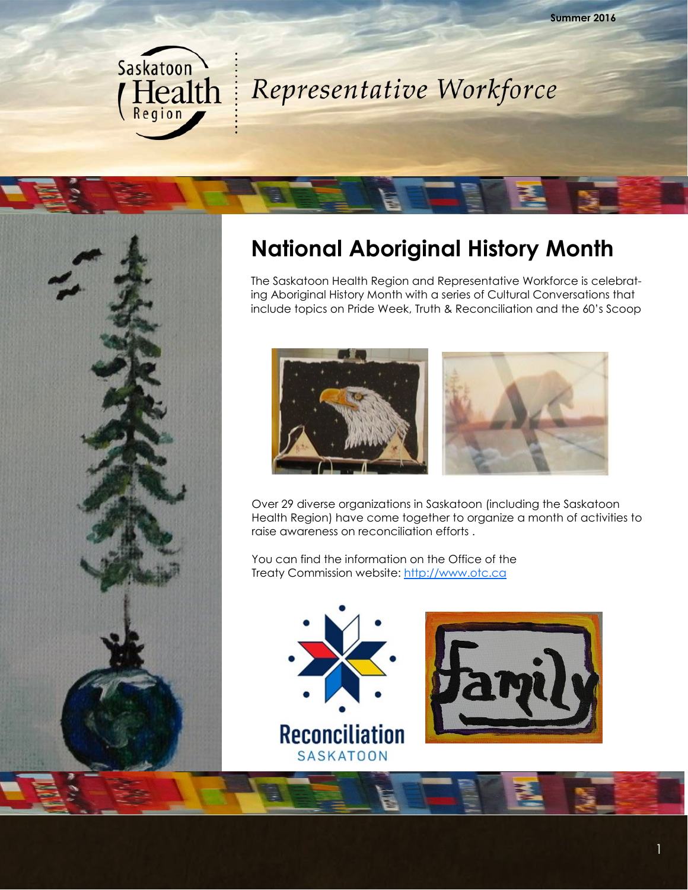



#### **National Aboriginal History Month**

The Saskatoon Health Region and Representative Workforce is celebrating Aboriginal History Month with a series of Cultural Conversations that include topics on Pride Week, Truth & Reconciliation and the 60's Scoop



Over 29 diverse organizations in Saskatoon (including the Saskatoon Health Region) have come together to organize a month of activities to raise awareness on reconciliation efforts .

You can find the information on the Office of the Treaty Commission website: <http://www.otc.ca>



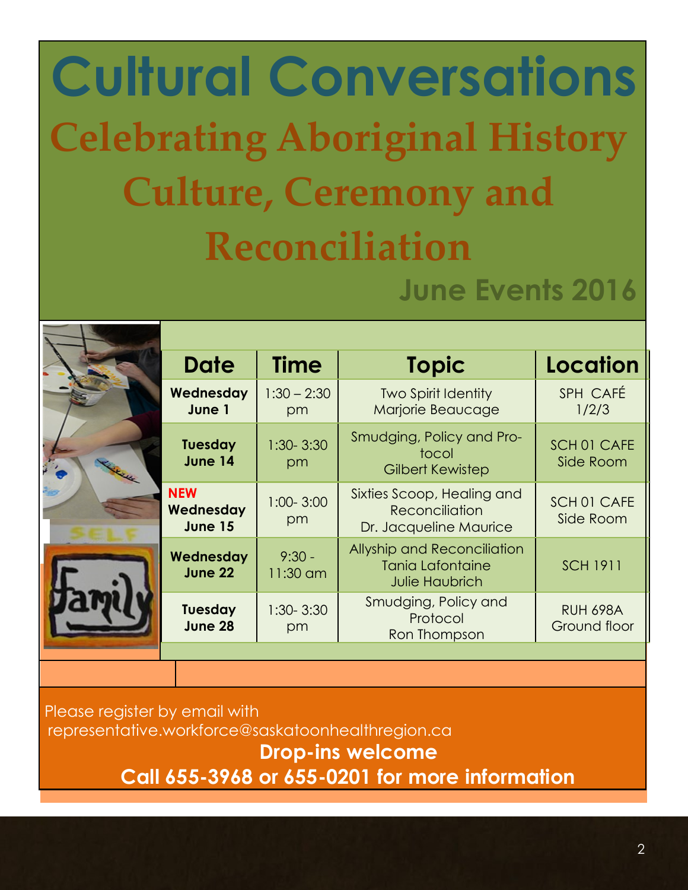# **Cultural Conversations Celebrating Aboriginal History Culture, Ceremony and Reconciliation June Events 2016**

|  | <b>Date</b>                               | <b>Time</b>          | <b>Topic</b>                                                                           | <b>Location</b>                 |
|--|-------------------------------------------|----------------------|----------------------------------------------------------------------------------------|---------------------------------|
|  | Wednesday<br>June 1                       | $1:30 - 2:30$<br>pm  | Two Spirit Identity<br>Marjorie Beaucage                                               | SPH CAFÉ<br>1/2/3               |
|  | <b>Tuesday</b><br>June 14                 | $1:30 - 3:30$<br>pm  | Smudging, Policy and Pro-<br>tocol<br><b>Gilbert Kewistep</b>                          | SCH 01 CAFE<br>Side Room        |
|  | <b>NEW</b><br>Wednesday<br><b>June 15</b> | $1:00 - 3:00$<br>pm  | Sixties Scoop, Healing and<br>Reconciliation<br>Dr. Jacqueline Maurice                 | SCH 01 CAFE<br>Side Room        |
|  | Wednesday<br>June 22                      | $9:30 -$<br>11:30 am | <b>Allyship and Reconciliation</b><br><b>Tania Lafontaine</b><br><b>Julie Haubrich</b> | <b>SCH 1911</b>                 |
|  | <b>Tuesday</b><br>June 28                 | $1:30 - 3:30$<br>pm  | Smudging, Policy and<br>Protocol<br>Ron Thompson                                       | <b>RUH 698A</b><br>Ground floor |
|  |                                           |                      |                                                                                        |                                 |
|  |                                           |                      |                                                                                        |                                 |
|  |                                           |                      |                                                                                        |                                 |

Please register by email with representative.workforce@saskatoonhealthregion.ca  **Drop-ins welcome Call 655-3968 or 655-0201 for more information**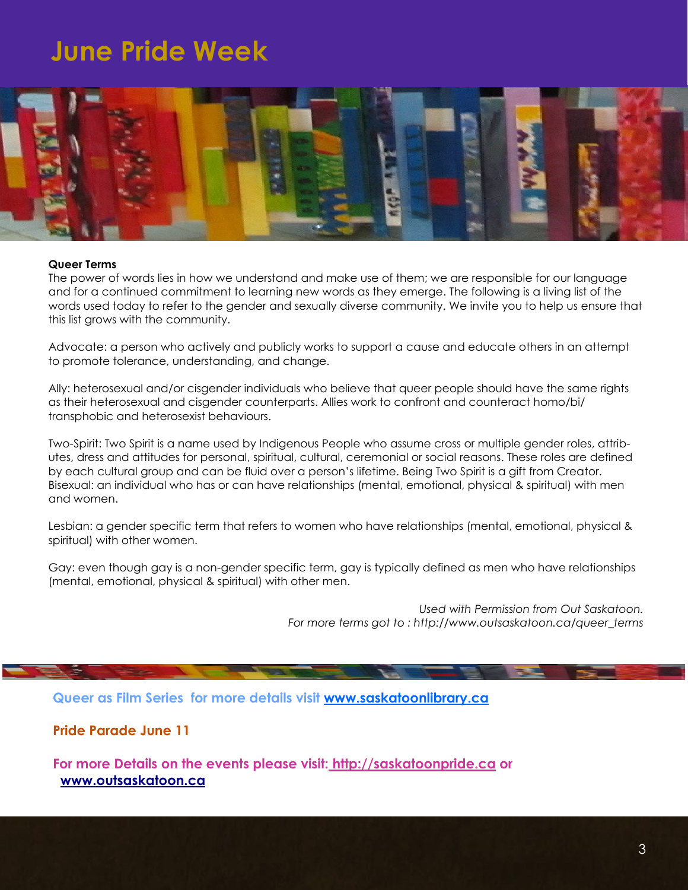## **June Pride Week**



#### **Queer Terms**

The power of words lies in how we understand and make use of them; we are responsible for our language and for a continued commitment to learning new words as they emerge. The following is a living list of the words used today to refer to the gender and sexually diverse community. We invite you to help us ensure that this list grows with the community.

Advocate: a person who actively and publicly works to support a cause and educate others in an attempt to promote tolerance, understanding, and change.

Ally: heterosexual and/or cisgender individuals who believe that queer people should have the same rights as their heterosexual and cisgender counterparts. Allies work to confront and counteract homo/bi/ transphobic and heterosexist behaviours.

Two-Spirit: Two Spirit is a name used by Indigenous People who assume cross or multiple gender roles, attributes, dress and attitudes for personal, spiritual, cultural, ceremonial or social reasons. These roles are defined by each cultural group and can be fluid over a person's lifetime. Being Two Spirit is a gift from Creator. Bisexual: an individual who has or can have relationships (mental, emotional, physical & spiritual) with men and women.

Lesbian: a gender specific term that refers to women who have relationships (mental, emotional, physical & spiritual) with other women.

Gay: even though gay is a non-gender specific term, gay is typically defined as men who have relationships (mental, emotional, physical & spiritual) with other men.

> *Used with Permission from Out Saskatoon. For more terms got to : http://www.outsaskatoon.ca/queer\_terms*

**Queer as Film Series for more details visit [www.saskatoonlibrary.ca](http://www.saskatoonlibrary.ca)**

**Pride Parade June 11**

**For more Details on the events please visit: <http://saskatoonpride.ca> or [www.outsaskatoon.ca](http://www.outsaskatoon.ca)**